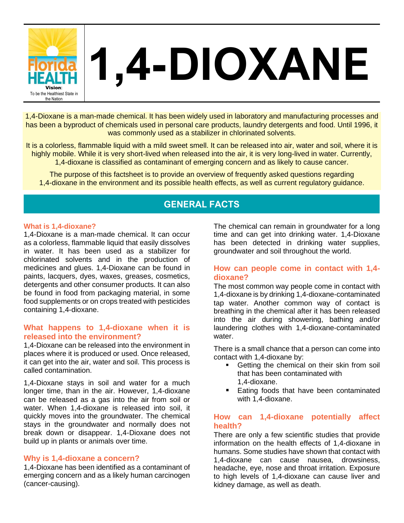

# **1,4-DIOXANE**

1,4-Dioxane is a man-made chemical. It has been widely used in laboratory and manufacturing processes and has been a byproduct of chemicals used in personal care products, laundry detergents and food. Until 1996, it was commonly used as a stabilizer in chlorinated solvents.

It is a colorless, flammable liquid with a mild sweet smell. It can be released into air, water and soil, where it is highly mobile. While it is very short-lived when released into the air, it is very long-lived in water. Currently, 1,4-dioxane is classified as contaminant of emerging concern and as likely to cause cancer.

The purpose of this factsheet is to provide an overview of frequently asked questions regarding 1,4-dioxane in the environment and its possible health effects, as well as current regulatory guidance.

# **GENERAL FACTS**

#### **What is 1,4-dioxane?**

1,4-Dioxane is a man-made chemical. It can occur as a colorless, flammable liquid that easily dissolves in water. It has been used as a stabilizer for chlorinated solvents and in the production of medicines and glues. 1,4-Dioxane can be found in paints, lacquers, dyes, waxes, greases, cosmetics, detergents and other consumer products. It can also be found in food from packaging material, in some food supplements or on crops treated with pesticides containing 1,4-dioxane.

#### **What happens to 1,4-dioxane when it is released into the environment?**

1,4-Dioxane can be released into the environment in places where it is produced or used. Once released, it can get into the air, water and soil. This process is called contamination.

1,4-Dioxane stays in soil and water for a much longer time, than in the air. However, 1,4-dioxane can be released as a gas into the air from soil or water. When 1,4-dioxane is released into soil, it quickly moves into the groundwater. The chemical stays in the groundwater and normally does not break down or disappear. 1,4-Dioxane does not build up in plants or animals over time.

#### **Why is 1,4-dioxane a concern?**

1,4-Dioxane has been identified as a contaminant of emerging concern and as a likely human carcinogen (cancer-causing).

The chemical can remain in groundwater for a long time and can get into drinking water. 1,4-Dioxane has been detected in drinking water supplies, groundwater and soil throughout the world.

# **How can people come in contact with 1,4 dioxane?**

The most common way people come in contact with 1,4-dioxane is by drinking 1,4-dioxane-contaminated tap water. Another common way of contact is breathing in the chemical after it has been released into the air during showering, bathing and/or laundering clothes with 1,4-dioxane-contaminated water.

There is a small chance that a person can come into contact with 1,4-dioxane by:

- Getting the chemical on their skin from soil that has been contaminated with 1,4-dioxane.
- Eating foods that have been contaminated with 1,4-dioxane.

## **How can 1,4-dioxane potentially affect health?**

There are only a few scientific studies that provide information on the health effects of 1,4-dioxane in humans. Some studies have shown that contact with 1,4-dioxane can cause nausea, drowsiness, headache, eye, nose and throat irritation. Exposure to high levels of 1,4-dioxane can cause liver and kidney damage, as well as death.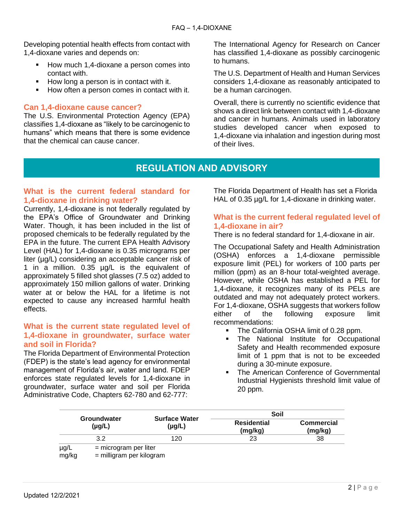Developing potential health effects from contact with 1,4-dioxane varies and depends on:

- How much 1,4-dioxane a person comes into contact with.
- How long a person is in contact with it.
- How often a person comes in contact with it.

# **Can 1,4-dioxane cause cancer?**

The U.S. Environmental Protection Agency (EPA) classifies 1,4-dioxane as "likely to be carcinogenic to humans" which means that there is some evidence that the chemical can cause cancer.

The International Agency for Research on Cancer has classified 1,4-dioxane as possibly carcinogenic to humans.

The U.S. Department of Health and Human Services considers 1,4-dioxane as reasonably anticipated to be a human carcinogen.

Overall, there is currently no scientific evidence that shows a direct link between contact with 1,4-dioxane and cancer in humans. Animals used in laboratory studies developed cancer when exposed to 1,4-dioxane via inhalation and ingestion during most of their lives.

# **REGULATION AND ADVISORY**

# **What is the current federal standard for 1,4-dioxane in drinking water?**

Currently, 1,4-dioxane is not federally regulated by the EPA's Office of Groundwater and Drinking Water. Though, it has been included in the list of proposed chemicals to be federally regulated by the EPA in the future. The current EPA Health Advisory Level (HAL) for 1,4-dioxane is 0.35 micrograms per liter (µg/L) considering an acceptable cancer risk of 1 in a million. 0.35 µg/L is the equivalent of approximately 5 filled shot glasses (7.5 oz) added to approximately 150 million gallons of water. Drinking water at or below the HAL for a lifetime is not expected to cause any increased harmful health effects.

## **What is the current state regulated level of 1,4-dioxane in groundwater, surface water and soil in Florida?**

The Florida Department of Environmental Protection (FDEP) is the state's lead agency for environmental management of Florida's air, water and land. FDEP enforces state regulated levels for 1,4-dioxane in groundwater, surface water and soil per Florida Administrative Code, Chapters 62-780 and 62-777:

The Florida Department of Health has set a Florida HAL of 0.35  $\mu$ g/L for 1,4-dioxane in drinking water.

## **What is the current federal regulated level of 1,4-dioxane in air?**

There is no federal standard for 1,4-dioxane in air.

The Occupational Safety and Health Administration (OSHA) enforces a 1,4-dioxane permissible exposure limit (PEL) for workers of 100 parts per million (ppm) as an 8-hour total-weighted average. However, while OSHA has established a PEL for 1,4-dioxane, it recognizes many of its PELs are outdated and may not adequately protect workers. For 1,4-dioxane, OSHA suggests that workers follow either of the following exposure limit recommendations:

- The California OSHA limit of 0.28 ppm.
- The National Institute for Occupational Safety and Health recommended exposure limit of 1 ppm that is not to be exceeded during a 30-minute exposure.
- **The American Conference of Governmental** Industrial Hygienists threshold limit value of 20 ppm.

|               |                                                     | <b>Surface Water</b><br>$(\mu g/L)$ | Soil                          |                              |
|---------------|-----------------------------------------------------|-------------------------------------|-------------------------------|------------------------------|
|               | Groundwater<br>(µg/L)                               |                                     | <b>Residential</b><br>(mg/kg) | <b>Commercial</b><br>(mg/kg) |
|               | 3.2                                                 | 120                                 | 23                            | 38                           |
| µg/L<br>mg/kg | $=$ microgram per liter<br>= milligram per kilogram |                                     |                               |                              |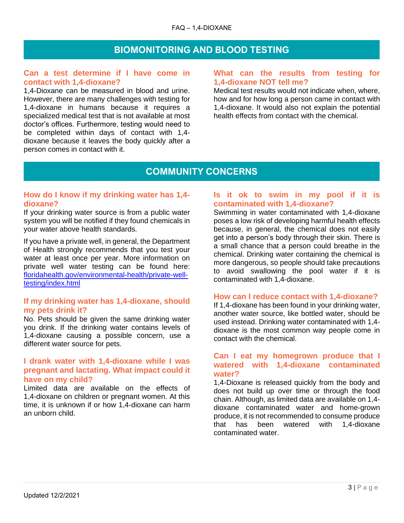# **BIOMONITORING AND BLOOD TESTING**

#### **Can a test determine if I have come in contact with 1,4-dioxane?**

1,4-Dioxane can be measured in blood and urine. However, there are many challenges with testing for 1,4-dioxane in humans because it requires a specialized medical test that is not available at most doctor's offices. Furthermore, testing would need to be completed within days of contact with 1,4 dioxane because it leaves the body quickly after a person comes in contact with it.

#### **What can the results from testing for 1,4-dioxane NOT tell me?**

Medical test results would not indicate when, where, how and for how long a person came in contact with 1,4-dioxane. It would also not explain the potential health effects from contact with the chemical.

# **COMMUNITY CONCERNS**

## **How do I know if my drinking water has 1,4 dioxane?**

If your drinking water source is from a public water system you will be notified if they found chemicals in your water above health standards.

If you have a private well, in general, the Department of Health strongly recommends that you test your water at least once per year. More information on private well water testing can be found here: [floridahealth.gov/environmental-health/private-well](http://www.floridahealth.gov/environmental-health/private-well-testing/index.html)[testing/index.html](http://www.floridahealth.gov/environmental-health/private-well-testing/index.html)

## **If my drinking water has 1,4-dioxane, should my pets drink it?**

No. Pets should be given the same drinking water you drink. If the drinking water contains levels of 1,4-dioxane causing a possible concern, use a different water source for pets.

# **I drank water with 1,4-dioxane while I was pregnant and lactating. What impact could it have on my child?**

Limited data are available on the effects of 1,4-dioxane on children or pregnant women. At this time, it is unknown if or how 1,4-dioxane can harm an unborn child.

#### **Is it ok to swim in my pool if it is contaminated with 1,4-dioxane?**

Swimming in water contaminated with 1,4-dioxane poses a low risk of developing harmful health effects because, in general, the chemical does not easily get into a person's body through their skin. There is a small chance that a person could breathe in the chemical. Drinking water containing the chemical is more dangerous, so people should take precautions to avoid swallowing the pool water if it is contaminated with 1,4-dioxane.

# **How can I reduce contact with 1,4-dioxane?**

If 1,4-dioxane has been found in your drinking water, another water source, like bottled water, should be used instead. Drinking water contaminated with 1,4 dioxane is the most common way people come in contact with the chemical.

## **Can I eat my homegrown produce that I watered with 1,4-dioxane contaminated water?**

1,4-Dioxane is released quickly from the body and does not build up over time or through the food chain. Although, as limited data are available on 1,4 dioxane contaminated water and home-grown produce, it is not recommended to consume produce that has been watered with 1,4-dioxane contaminated water.